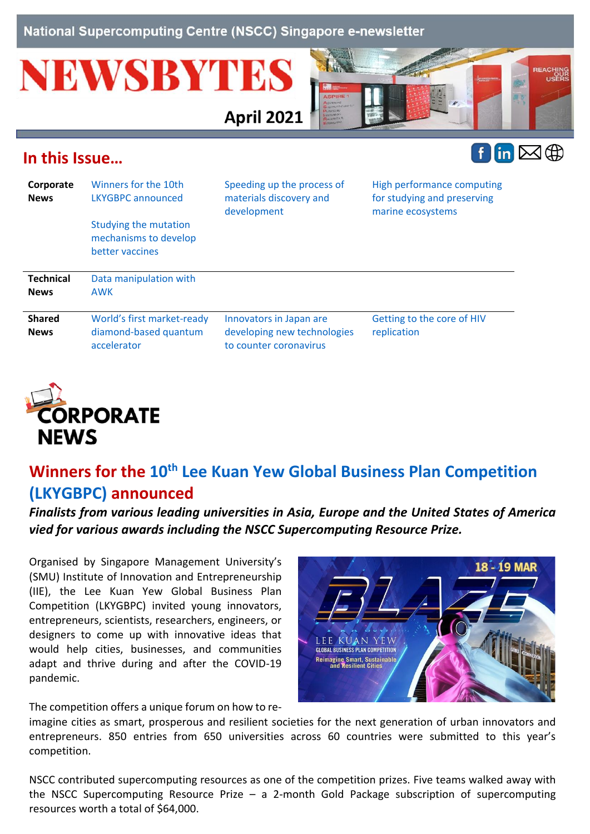National Supercomputing Centre (NSCC) Singapore e-newsletter

# **NEWSBYTES**



## <span id="page-0-1"></span>**In this Issue…**



| Corporate<br><b>News</b>        | Winners for the 10th<br>LKYGBPC announced<br><b>Studying the mutation</b><br>mechanisms to develop<br>better vaccines | Speeding up the process of<br>materials discovery and<br>development             | High performance computing<br>for studying and preserving<br>marine ecosystems |
|---------------------------------|-----------------------------------------------------------------------------------------------------------------------|----------------------------------------------------------------------------------|--------------------------------------------------------------------------------|
| <b>Technical</b><br><b>News</b> | Data manipulation with<br><b>AWK</b>                                                                                  |                                                                                  |                                                                                |
| <b>Shared</b><br><b>News</b>    | World's first market-ready<br>diamond-based quantum<br>accelerator                                                    | Innovators in Japan are<br>developing new technologies<br>to counter coronavirus | Getting to the core of HIV<br>replication                                      |

**April 2021** 



# <span id="page-0-0"></span>**Winners for the 10th Lee Kuan [Yew Global Business Plan Competition](https://www.smu.edu.sg/lky/)  [\(LKYGBPC\)](https://www.smu.edu.sg/lky/) announced**

*Finalists from various leading universities in Asia, Europe and the United States of America vied for various awards including the NSCC Supercomputing Resource Prize.*

Organised by Singapore Management University's (SMU) Institute of Innovation and Entrepreneurship (IIE), the Lee Kuan Yew Global Business Plan Competition (LKYGBPC) invited young innovators, entrepreneurs, scientists, researchers, engineers, or designers to come up with innovative ideas that would help cities, businesses, and communities adapt and thrive during and after the COVID-19 pandemic.

The competition offers a unique forum on how to re-



imagine cities as smart, prosperous and resilient societies for the next generation of urban innovators and entrepreneurs. 850 entries from 650 universities across 60 countries were submitted to this year's competition.

NSCC contributed supercomputing resources as one of the competition prizes. Five teams walked away with the NSCC Supercomputing Resource Prize – a 2-month Gold Package subscription of supercomputing resources worth a total of \$64,000.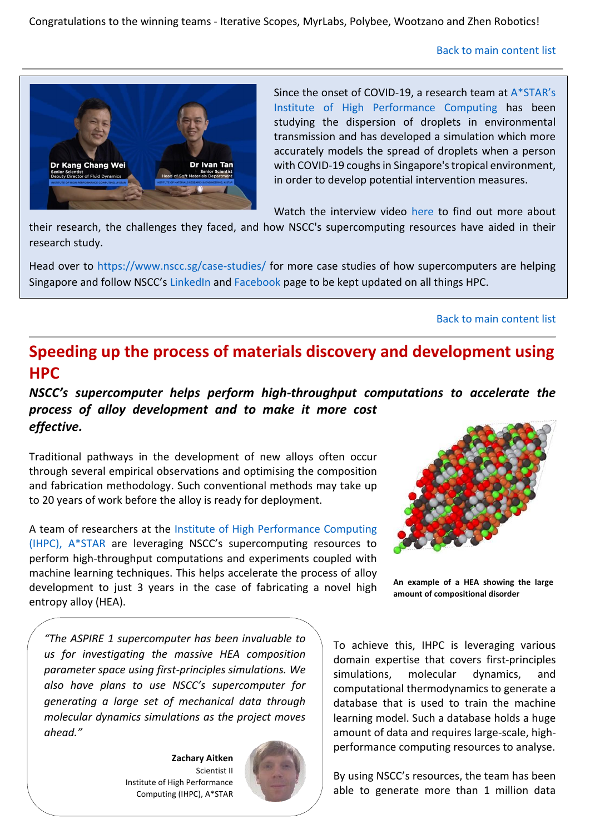Congratulations to the winning teams - Iterative Scopes, MyrLabs, Polybee, Wootzano and Zhen Robotics!

[Back to main content list](#page-0-1)



Since the onset of COVID-19, a research team at [A\\*STAR's](https://www.linkedin.com/company/ihpcsg/posts/?feedView=all)  [Institute of High Performance Computing](https://www.linkedin.com/company/ihpcsg/posts/?feedView=all) has been studying the dispersion of droplets in environmental transmission and has developed a simulation which more accurately models the spread of droplets when a person with COVID-19 coughs in Singapore's tropical environment, in order to develop potential intervention measures.

Watch the interview video [here](https://www.facebook.com/ASTARSG/videos/1140357176477790/) to find out more about

their research, the challenges they faced, and how NSCC's supercomputing resources have aided in their research study.

Head over to<https://www.nscc.sg/case-studies/> for more case studies of how supercomputers are helping Singapore and follow NSCC's [LinkedIn](https://www.linkedin.com/company/nsccsg/posts/?feedView=all&viewAsMember=true) and [Facebook](https://www.facebook.com/NSCCSG) page to be kept updated on all things HPC.

#### [Back to main content list](#page-0-1)

# <span id="page-1-0"></span>**Speeding up the process of materials discovery and development using HPC**

*NSCC's supercomputer helps perform high-throughput computations to accelerate the process of alloy development and to make it more cost effective.*

Traditional pathways in the development of new alloys often occur through several empirical observations and optimising the composition and fabrication methodology. Such conventional methods may take up to 20 years of work before the alloy is ready for deployment.

A team of researchers at the [Institute of High Performance Computing](https://www.a-star.edu.sg/ihpc)  [\(IHPC\), A\\*STAR](https://www.a-star.edu.sg/ihpc) are leveraging NSCC's supercomputing resources to perform high-throughput computations and experiments coupled with machine learning techniques. This helps accelerate the process of alloy development to just 3 years in the case of fabricating a novel high entropy alloy (HEA).



**An example of a HEA showing the large amount of compositional disorder**

*"The ASPIRE 1 supercomputer has been invaluable to us for investigating the massive HEA composition parameter space using first-principles simulations. We also have plans to use NSCC's supercomputer for generating a large set of mechanical data through molecular dynamics simulations as the project moves ahead."*

> **Zachary Aitken** Scientist II Institute of High Performance Computing (IHPC), A\*STAR



To achieve this, IHPC is leveraging various domain expertise that covers first-principles simulations, molecular dynamics, and computational thermodynamics to generate a database that is used to train the machine learning model. Such a database holds a huge amount of data and requires large-scale, highperformance computing resources to analyse.

By using NSCC's resources, the team has been able to generate more than 1 million data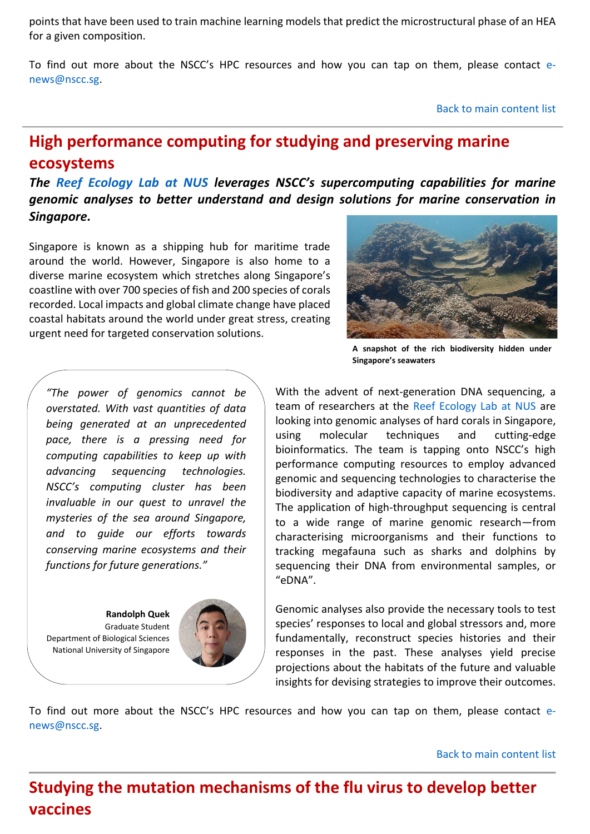points that have been used to train machine learning models that predict the microstructural phase of an HEA for a given composition.

To find out more about the NSCC's HPC resources and how you can tap on them, please contact [e](mailto:e-news@nscc.sg)[news@nscc.sg.](mailto:e-news@nscc.sg)

[Back to main content list](#page-0-1)

# <span id="page-2-0"></span>**High performance computing for studying and preserving marine ecosystems**

*The [Reef Ecology Lab at NUS](https://coralreef.nus.edu.sg/index.html) leverages NSCC's supercomputing capabilities for marine genomic analyses to better understand and design solutions for marine conservation in Singapore.*

Singapore is known as a shipping hub for maritime trade around the world. However, Singapore is also home to a diverse marine ecosystem which stretches along Singapore's coastline with over 700 species of fish and 200 species of corals recorded. Local impacts and global climate change have placed coastal habitats around the world under great stress, creating urgent need for targeted conservation solutions.

*"The power of genomics cannot be overstated. With vast quantities of data being generated at an unprecedented pace, there is a pressing need for computing capabilities to keep up with advancing sequencing technologies. NSCC's computing cluster has been invaluable in our quest to unravel the mysteries of the sea around Singapore, and to guide our efforts towards conserving marine ecosystems and their functions for future generations."*

**Randolph Quek** Graduate Student Department of Biological Sciences National University of Singapore





**A snapshot of the rich biodiversity hidden under Singapore's seawaters**

With the advent of next-generation DNA sequencing, a team of researchers at the [Reef Ecology Lab at NUS](https://coralreef.nus.edu.sg/) are looking into genomic analyses of hard corals in Singapore, using molecular techniques and cutting-edge bioinformatics. The team is tapping onto NSCC's high performance computing resources to employ advanced genomic and sequencing technologies to characterise the biodiversity and adaptive capacity of marine ecosystems. The application of high-throughput sequencing is central to a wide range of marine genomic research—from characterising microorganisms and their functions to tracking megafauna such as sharks and dolphins by sequencing their DNA from environmental samples, or "eDNA".

Genomic analyses also provide the necessary tools to test species' responses to local and global stressors and, more fundamentally, reconstruct species histories and their responses in the past. These analyses yield precise projections about the habitats of the future and valuable insights for devising strategies to improve their outcomes.

To find out more about the NSCC's HPC resources and how you can tap on them, please contact [e](mailto:e-news@nscc.sg)[news@nscc.sg.](mailto:e-news@nscc.sg)

[Back to main content list](#page-0-1)

<span id="page-2-1"></span>**Studying the mutation mechanisms of the flu virus to develop better vaccines**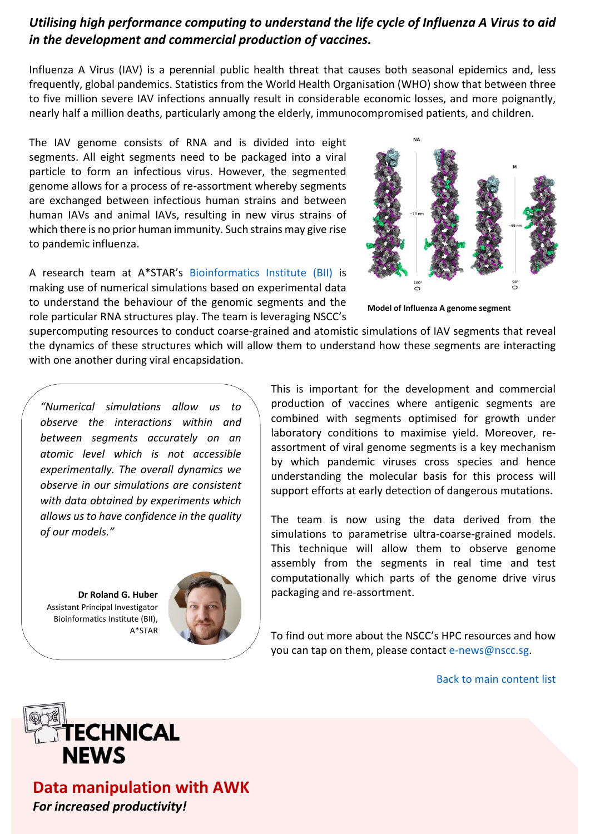#### *Utilising high performance computing to understand the life cycle of Influenza A Virus to aid in the development and commercial production of vaccines.*

Influenza A Virus (IAV) is a perennial public health threat that causes both seasonal epidemics and, less frequently, global pandemics. Statistics from the World Health Organisation (WHO) show that between three to five million severe IAV infections annually result in considerable economic losses, and more poignantly, nearly half a million deaths, particularly among the elderly, immunocompromised patients, and children.

The IAV genome consists of RNA and is divided into eight segments. All eight segments need to be packaged into a viral particle to form an infectious virus. However, the segmented genome allows for a process of re-assortment whereby segments are exchanged between infectious human strains and between human IAVs and animal IAVs, resulting in new virus strains of which there is no prior human immunity. Such strains may give rise to pandemic influenza.

A research team at A\*STAR's [Bioinformatics Institute \(BII\)](https://www.a-star.edu.sg/bii) is making use of numerical simulations based on experimental data to understand the behaviour of the genomic segments and the role particular RNA structures play. The team is leveraging NSCC's



**Model of Influenza A genome segment**

supercomputing resources to conduct coarse-grained and atomistic simulations of IAV segments that reveal the dynamics of these structures which will allow them to understand how these segments are interacting with one another during viral encapsidation.

*"Numerical simulations allow us to observe the interactions within and between segments accurately on an atomic level which is not accessible experimentally. The overall dynamics we observe in our simulations are consistent with data obtained by experiments which allows us to have confidence in the quality of our models."*

**Dr Roland G. Huber**  Assistant Principal Investigator Bioinformatics Institute (BII), A\*STAR



This is important for the development and commercial production of vaccines where antigenic segments are combined with segments optimised for growth under laboratory conditions to maximise yield. Moreover, reassortment of viral genome segments is a key mechanism by which pandemic viruses cross species and hence understanding the molecular basis for this process will support efforts at early detection of dangerous mutations.

The team is now using the data derived from the simulations to parametrise ultra-coarse-grained models. This technique will allow them to observe genome assembly from the segments in real time and test computationally which parts of the genome drive virus packaging and re-assortment.

To find out more about the NSCC's HPC resources and how you can tap on them, please contact [e-news@nscc.sg.](mailto:e-news@nscc.sg)

[Back to main content list](#page-0-1)



<span id="page-3-0"></span>**Data manipulation with AWK** *For increased productivity!*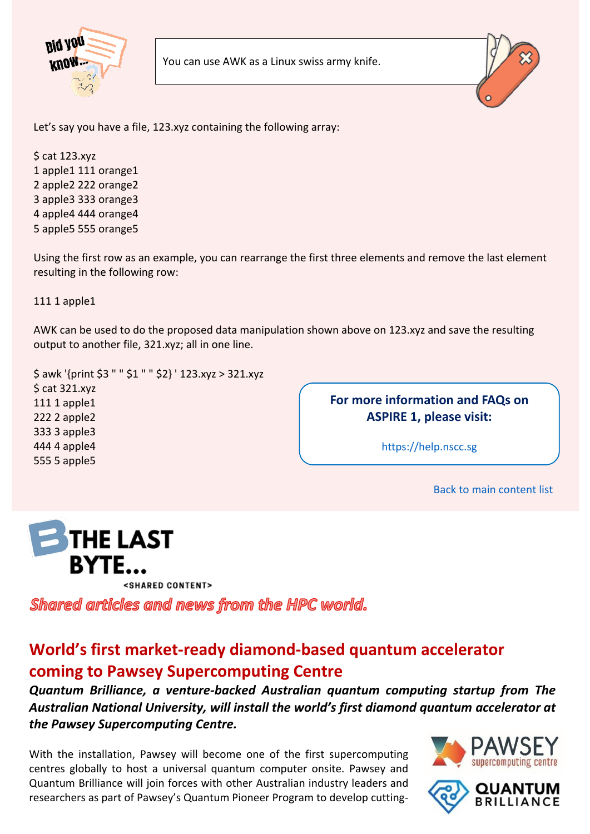



Let's say you have a file, 123.xyz containing the following array:

\$ cat 123.xyz 1 apple1 111 orange1 2 apple2 222 orange2 3 apple3 333 orange3 4 apple4 444 orange4 5 apple5 555 orange5

Using the first row as an example, you can rearrange the first three elements and remove the last element resulting in the following row:

111 1 apple1

AWK can be used to do the proposed data manipulation shown above on 123.xyz and save the resulting output to another file, 321.xyz; all in one line.

\$ awk '{print \$3 " " \$1 " " \$2} ' 123.xyz > 321.xyz \$ cat 321.xyz 111 1 apple1 222 2 apple2 333 3 apple3 444 4 apple4 555 5 apple5

**For more information and FAQs on ASPIRE 1, please visit:** 

[https://help.nscc.sg](https://help.nscc.sg/)

[Back to main content list](#page-0-1)



<SHARED CONTENT>

Shared articles and news from the HPC world.

# <span id="page-4-0"></span>**World's first market-ready diamond-based quantum accelerator coming to Pawsey Supercomputing Centre**

*Quantum Brilliance, a venture-backed Australian quantum computing startup from The Australian National University, will install the world's first diamond quantum accelerator at the Pawsey Supercomputing Centre.*

With the installation, Pawsey will become one of the first supercomputing centres globally to host a universal quantum computer onsite. Pawsey and Quantum Brilliance will join forces with other Australian industry leaders and researchers as part of Pawsey's Quantum Pioneer Program to develop cutting-